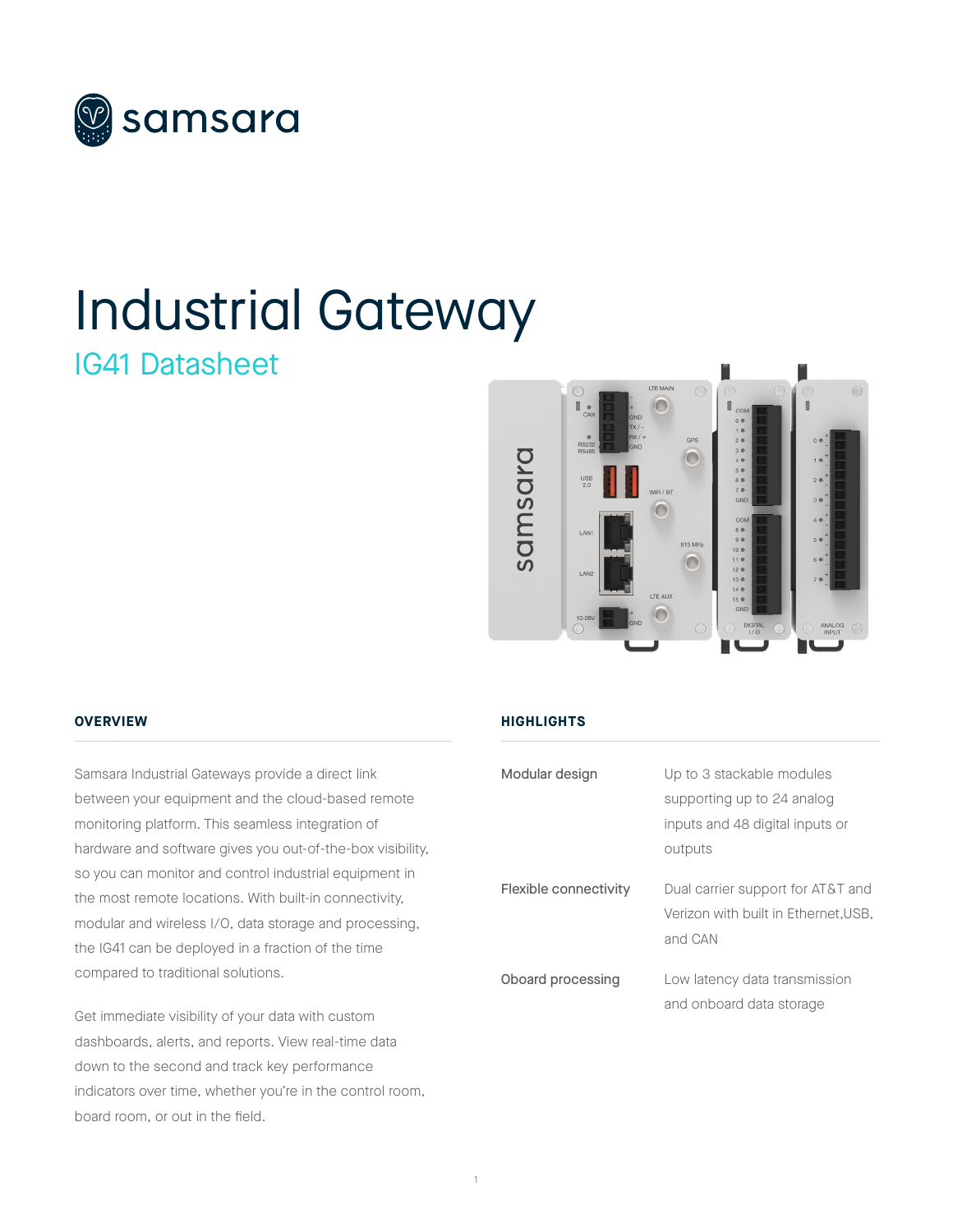

# Industrial Gateway

### IG41 Datasheet



### **OVERVIEW**

Samsara Industrial Gateways provide a direct link between your equipment and the cloud-based remote monitoring platform. This seamless integration of hardware and software gives you out-of-the-box visibility, so you can monitor and control industrial equipment in the most remote locations. With built-in connectivity, modular and wireless I/O, data storage and processing, the IG41 can be deployed in a fraction of the time compared to traditional solutions.

Get immediate visibility of your data with custom dashboards, alerts, and reports. View real-time data down to the second and track key performance indicators over time, whether you're in the control room, board room, or out in the field.

### **HIGHLIGHTS**

| Modular design        | Up to 3 stackable modules           |
|-----------------------|-------------------------------------|
|                       | supporting up to 24 analog          |
|                       | inputs and 48 digital inputs or     |
|                       | outputs                             |
|                       |                                     |
| Flexible connectivity | Dual carrier support for AT&T and   |
|                       | Verizon with built in Ethernet.USB. |
|                       | and CAN                             |
| Oboard processing     | Low latency data transmission       |
|                       |                                     |
|                       | and onboard data storage            |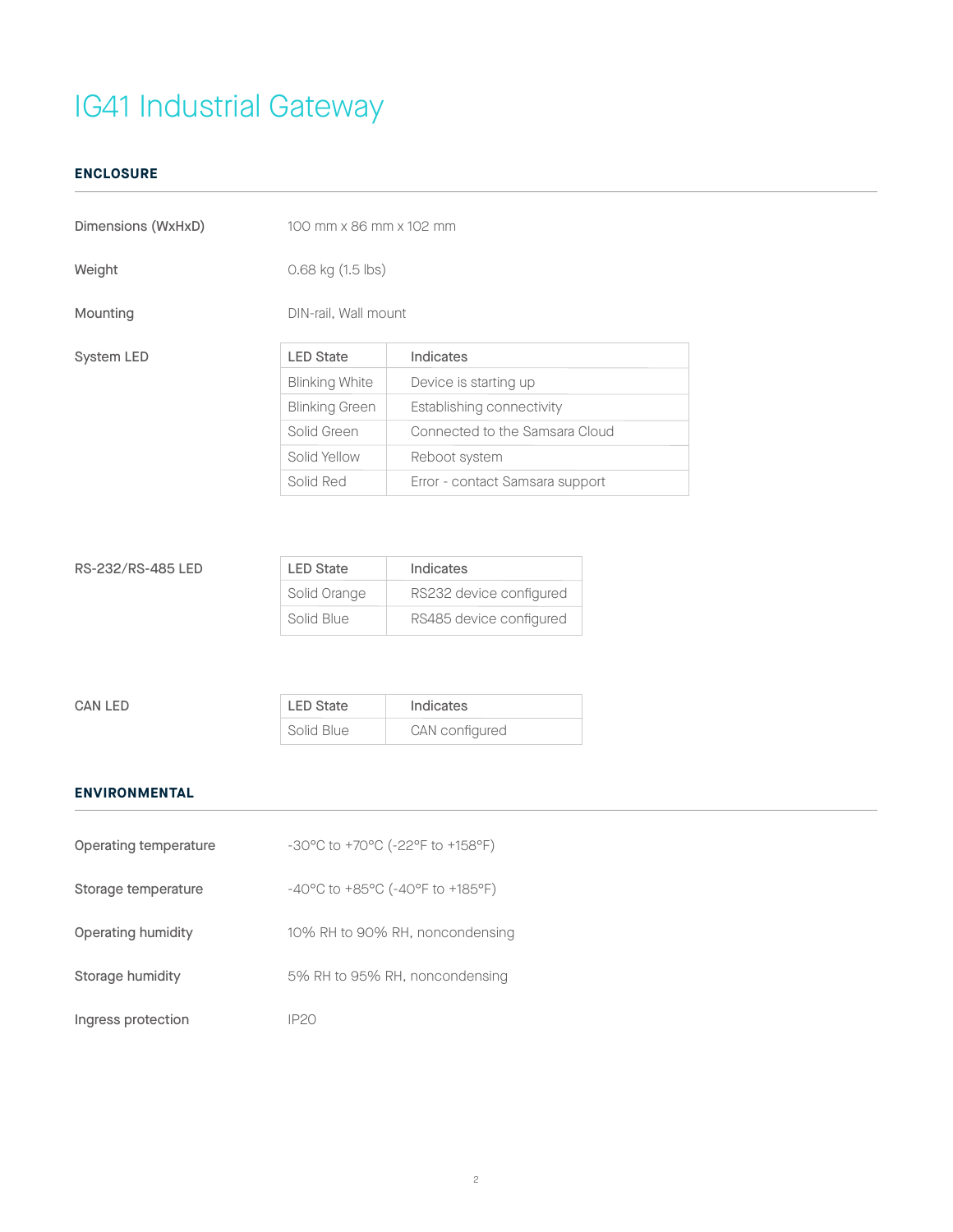### **ENCLOSURE**

| Dimensions (WxHxD) | 100 mm x 86 mm x 102 mm |                                 |
|--------------------|-------------------------|---------------------------------|
| Weight             | $0.68$ kg $(1.5$ lbs)   |                                 |
| Mounting           | DIN-rail, Wall mount    |                                 |
| System LED         | <b>LED State</b>        | Indicates                       |
|                    | <b>Blinking White</b>   | Device is starting up           |
|                    | <b>Blinking Green</b>   | Establishing connectivity       |
|                    | Solid Green             | Connected to the Samsara Cloud  |
|                    | Solid Yellow            | Reboot system                   |
|                    | Solid Red               | Error - contact Samsara support |
|                    |                         |                                 |

| RS-232/RS-485 LED | <b>LED State</b> | Indicates               |
|-------------------|------------------|-------------------------|
|                   | Solid Orange     | RS232 device configured |
|                   | Solid Blue       | RS485 device configured |

| <b>CAN LED</b> | <b>LED State</b> | Indicates      |
|----------------|------------------|----------------|
|                | Solid Blue       | CAN configured |

### **ENVIRONMENTAL**

| Operating temperature | $-30^{\circ}$ C to $+70^{\circ}$ C ( $-22^{\circ}$ F to $+158^{\circ}$ F) |
|-----------------------|---------------------------------------------------------------------------|
| Storage temperature   | $-40^{\circ}$ C to $+85^{\circ}$ C ( $-40^{\circ}$ F to $+185^{\circ}$ F) |
| Operating humidity    | 10% RH to 90% RH, noncondensing                                           |
| Storage humidity      | 5% RH to 95% RH, noncondensing                                            |
| Ingress protection    | IP20                                                                      |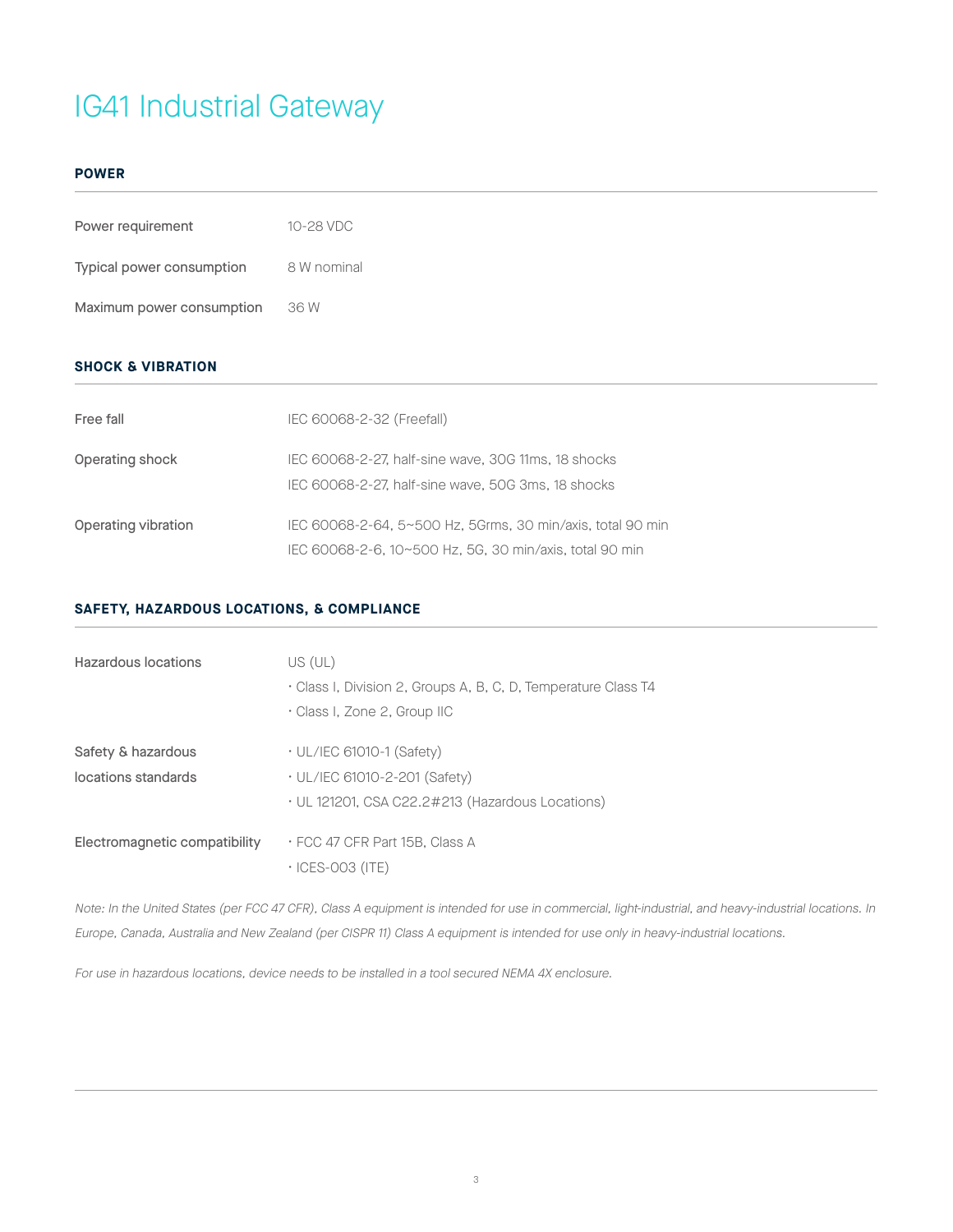#### **POWER**

| Power requirement         | 10-28 VDC   |
|---------------------------|-------------|
| Typical power consumption | 8 W nominal |
| Maximum power consumption | 36 W        |

### **SHOCK & VIBRATION**

| Free fall           | IEC 60068-2-32 (Freefall)                                  |
|---------------------|------------------------------------------------------------|
| Operating shock     | IEC 60068-2-27, half-sine wave, 30G 11ms, 18 shocks        |
|                     | IEC 60068-2-27, half-sine wave, 50G 3ms, 18 shocks         |
| Operating vibration | IEC 60068-2-64, 5~500 Hz, 5Grms, 30 min/axis, total 90 min |
|                     | IEC 60068-2-6, 10~500 Hz, 5G, 30 min/axis, total 90 min    |

### **SAFETY, HAZARDOUS LOCATIONS, & COMPLIANCE**

| Hazardous locations           | US (UL)<br>Class I, Division 2, Groups A, B, C, D, Temperature Class T4<br>Class I, Zone 2, Group IIC |
|-------------------------------|-------------------------------------------------------------------------------------------------------|
| Safety & hazardous            | $\cdot$ UL/IEC 61010-1 (Safety)                                                                       |
| locations standards           | • UL/IEC 61010-2-201 (Safety)                                                                         |
|                               | • UL 121201, CSA C22.2#213 (Hazardous Locations)                                                      |
| Electromagnetic compatibility | ⋅FCC 47 CFR Part 15B. Class A<br>$\cdot$ ICES-003 (ITE)                                               |

Note: In the United States (per FCC 47 CFR), Class A equipment is intended for use in commercial, light-industrial, and heavy-industrial locations. In Europe, Canada, Australia and New Zealand (per CISPR 11) Class A equipment is intended for use only in heavy-industrial locations.

For use in hazardous locations, device needs to be installed in a tool secured NEMA 4X enclosure.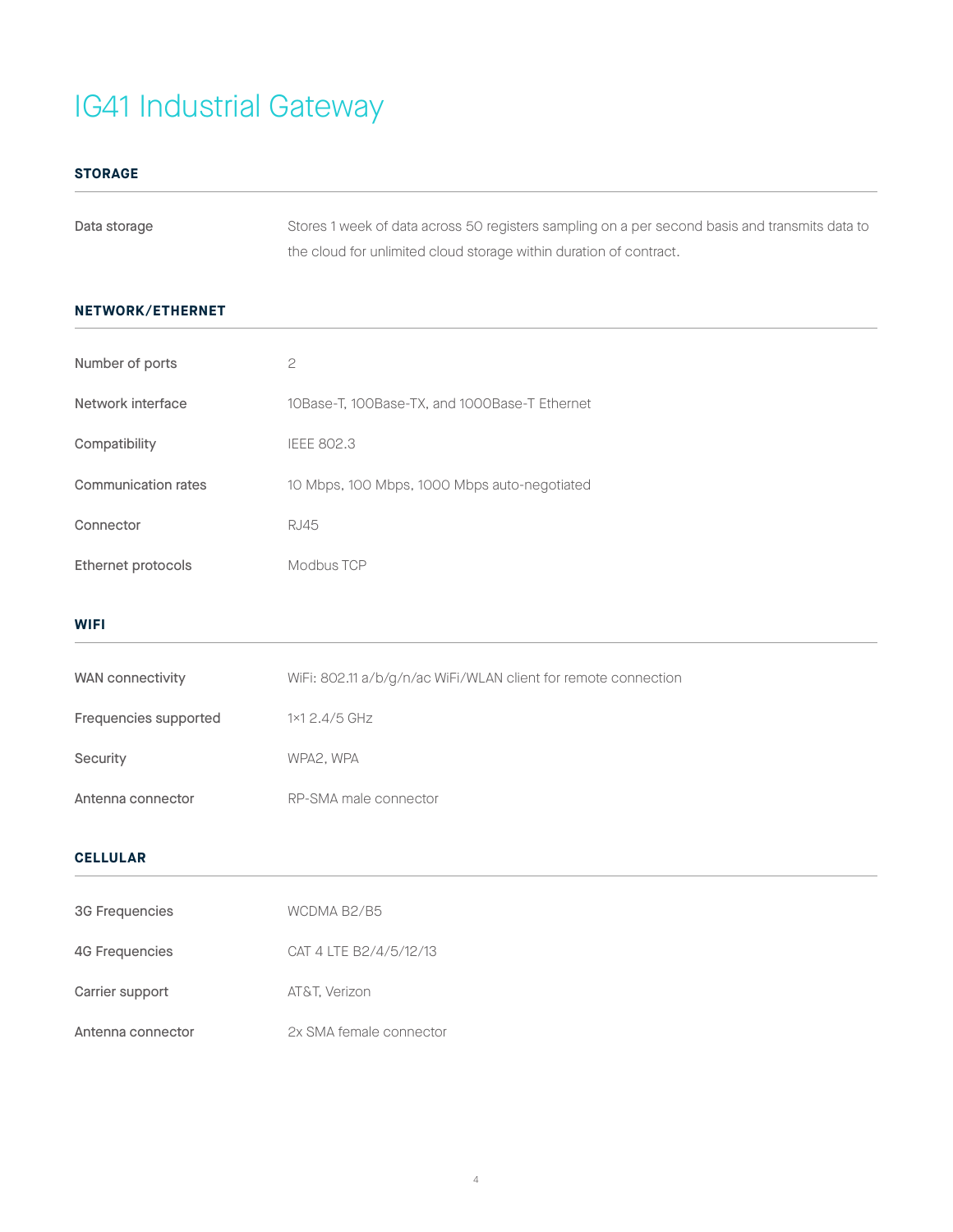### **STORAGE**

| Data storage | Stores 1 week of data across 50 registers sampling on a per second basis and transmits data to |
|--------------|------------------------------------------------------------------------------------------------|
|              | the cloud for unlimited cloud storage within duration of contract.                             |

### **NETWORK/ETHERNET**

| Number of ports       | $\mathbf{C}$                                                   |
|-----------------------|----------------------------------------------------------------|
| Network interface     | 10Base-T, 100Base-TX, and 1000Base-T Ethernet                  |
| Compatibility         | <b>IEEE 802.3</b>                                              |
| Communication rates   | 10 Mbps, 100 Mbps, 1000 Mbps auto-negotiated                   |
| Connector             | <b>RJ45</b>                                                    |
| Ethernet protocols    | Modbus TCP                                                     |
| <b>WIFI</b>           |                                                                |
| WAN connectivity      | WiFi: 802.11 a/b/g/n/ac WiFi/WLAN client for remote connection |
| Frequencies supported | 1×1 2.4/5 GHz                                                  |
| Security              | WPA2, WPA                                                      |
| Antenna connector     | RP-SMA male connector                                          |
| <b>CELLULAR</b>       |                                                                |

| <b>3G Frequencies</b> | WCDMA B2/B5             |
|-----------------------|-------------------------|
| <b>4G Frequencies</b> | CAT 4 LTE B2/4/5/12/13  |
| Carrier support       | AT&T. Verizon           |
| Antenna connector     | 2x SMA female connector |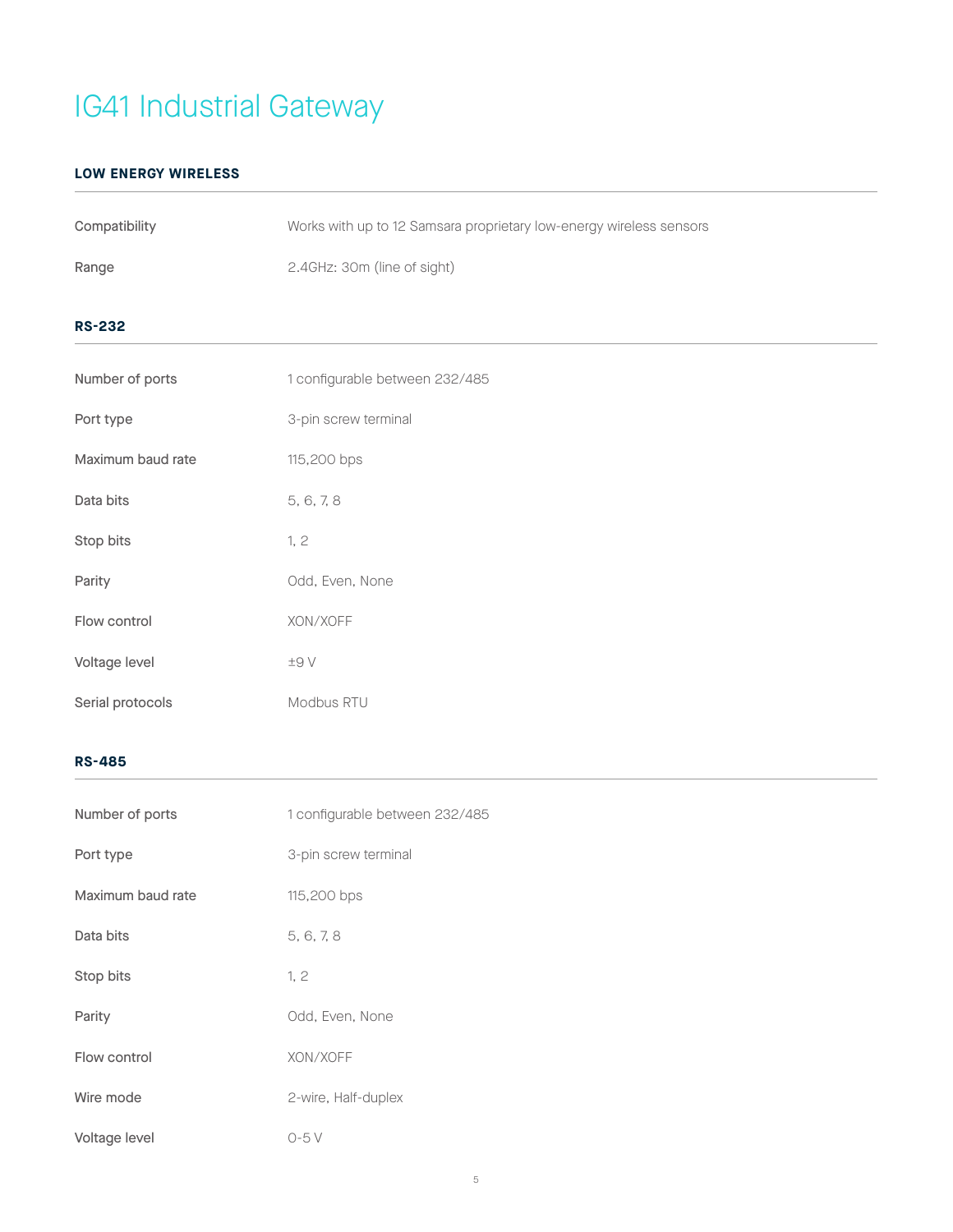### **LOW ENERGY WIRELESS**

| Compatibility     | Works with up to 12 Samsara proprietary low-energy wireless sensors |
|-------------------|---------------------------------------------------------------------|
| Range             | 2.4GHz: 30m (line of sight)                                         |
| <b>RS-232</b>     |                                                                     |
| Number of ports   | 1 configurable between 232/485                                      |
| Port type         | 3-pin screw terminal                                                |
| Maximum baud rate | 115,200 bps                                                         |
| Data bits         | 5, 6, 7, 8                                                          |
| Stop bits         | 1, 2                                                                |
| Parity            | Odd, Even, None                                                     |
| Flow control      | XON/XOFF                                                            |
| Voltage level     | $\pm\Theta$ V                                                       |
| Serial protocols  | Modbus RTU                                                          |

### **RS-485**

| Number of ports   | 1 configurable between 232/485 |  |  |
|-------------------|--------------------------------|--|--|
| Port type         | 3-pin screw terminal           |  |  |
| Maximum baud rate | 115,200 bps                    |  |  |
| Data bits         | 5, 6, 7, 8                     |  |  |
| Stop bits         | 1, 2                           |  |  |
| Parity            | Odd, Even, None                |  |  |
| Flow control      | XON/XOFF                       |  |  |
| Wire mode         | 2-wire, Half-duplex            |  |  |
| Voltage level     | $O-5V$                         |  |  |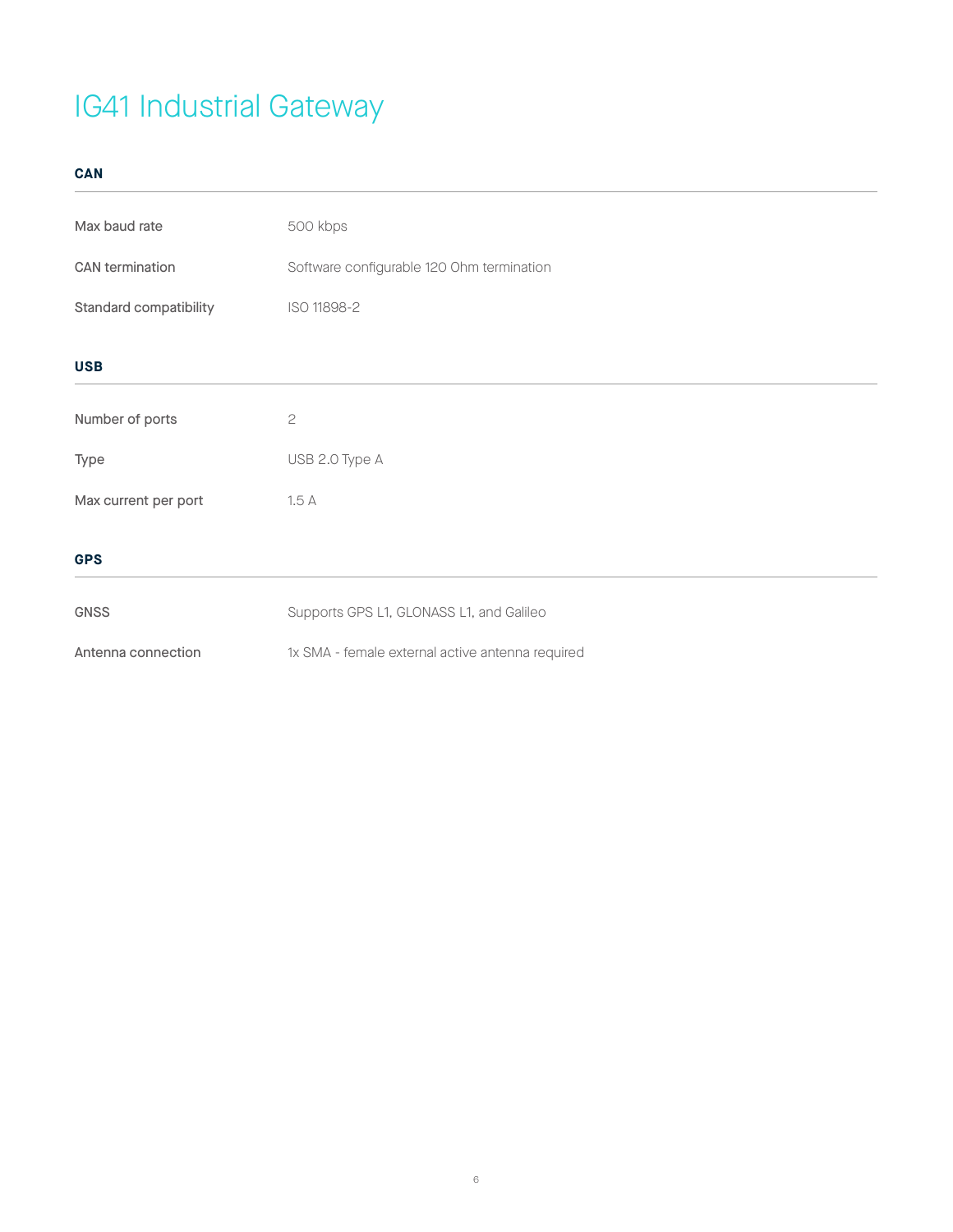**CAN**

| Max baud rate          | 500 kbps                                         |  |  |
|------------------------|--------------------------------------------------|--|--|
| CAN termination        | Software configurable 120 Ohm termination        |  |  |
| Standard compatibility | ISO 11898-2                                      |  |  |
| <b>USB</b>             |                                                  |  |  |
| Number of ports        | $\mathbf{S}$                                     |  |  |
| Type                   | USB 2.0 Type A                                   |  |  |
| Max current per port   | 1.5A                                             |  |  |
| <b>GPS</b>             |                                                  |  |  |
| <b>GNSS</b>            | Supports GPS L1, GLONASS L1, and Galileo         |  |  |
| Antenna connection     | 1x SMA - female external active antenna required |  |  |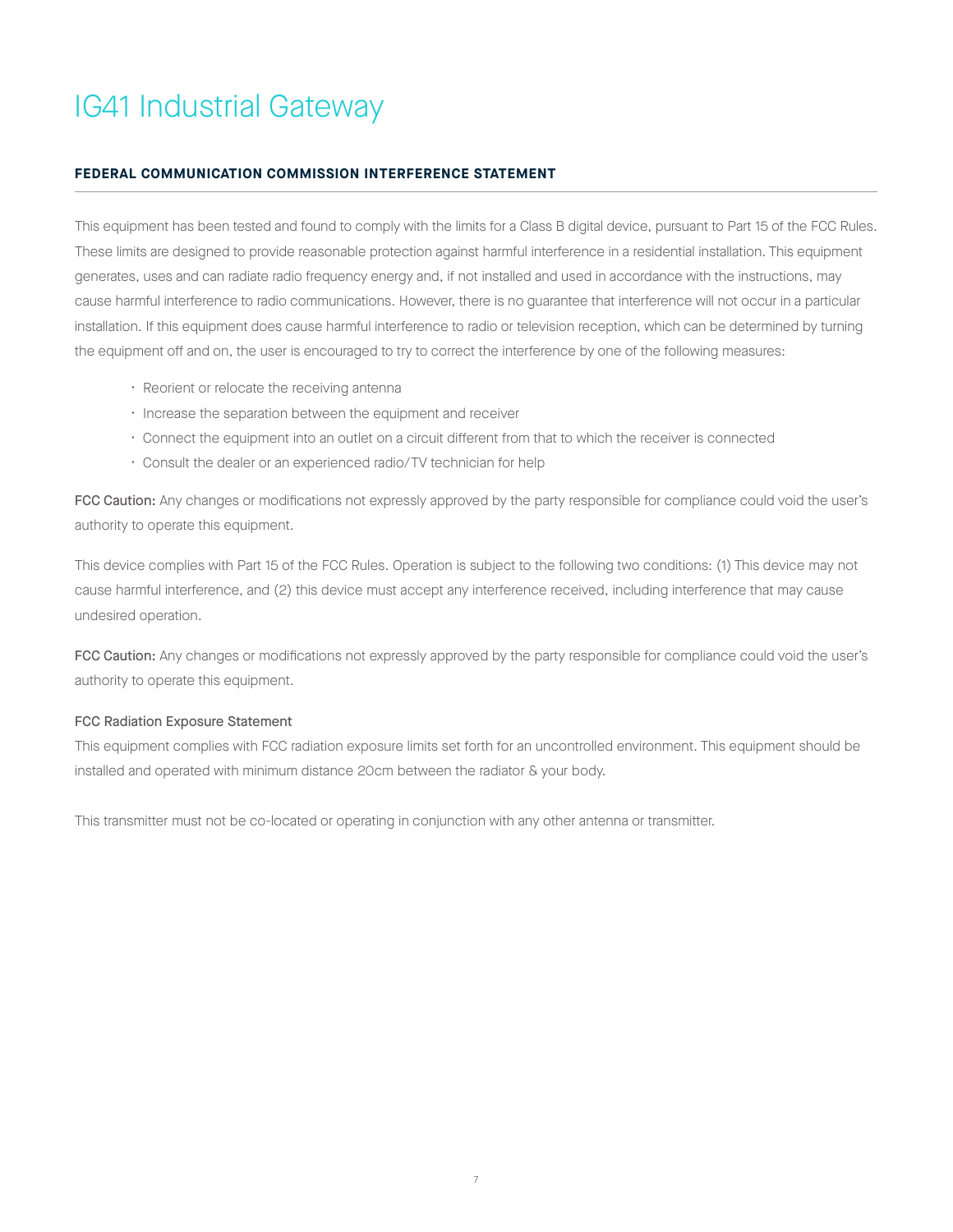#### **FEDERAL COMMUNICATION COMMISSION INTERFERENCE STATEMENT**

This equipment has been tested and found to comply with the limits for a Class B digital device, pursuant to Part 15 of the FCC Rules. These limits are designed to provide reasonable protection against harmful interference in a residential installation. This equipment generates, uses and can radiate radio frequency energy and, if not installed and used in accordance with the instructions, may cause harmful interference to radio communications. However, there is no guarantee that interference will not occur in a particular installation. If this equipment does cause harmful interference to radio or television reception, which can be determined by turning the equipment off and on, the user is encouraged to try to correct the interference by one of the following measures:

- Reorient or relocate the receiving antenna
- Increase the separation between the equipment and receiver
- Connect the equipment into an outlet on a circuit different from that to which the receiver is connected
- Consult the dealer or an experienced radio/TV technician for help

FCC Caution: Any changes or modifications not expressly approved by the party responsible for compliance could void the user's authority to operate this equipment.

This device complies with Part 15 of the FCC Rules. Operation is subject to the following two conditions: (1) This device may not cause harmful interference, and (2) this device must accept any interference received, including interference that may cause undesired operation.

FCC Caution: Any changes or modifications not expressly approved by the party responsible for compliance could void the user's authority to operate this equipment.

#### FCC Radiation Exposure Statement

This equipment complies with FCC radiation exposure limits set forth for an uncontrolled environment. This equipment should be installed and operated with minimum distance 20cm between the radiator & your body.

This transmitter must not be co-located or operating in conjunction with any other antenna or transmitter.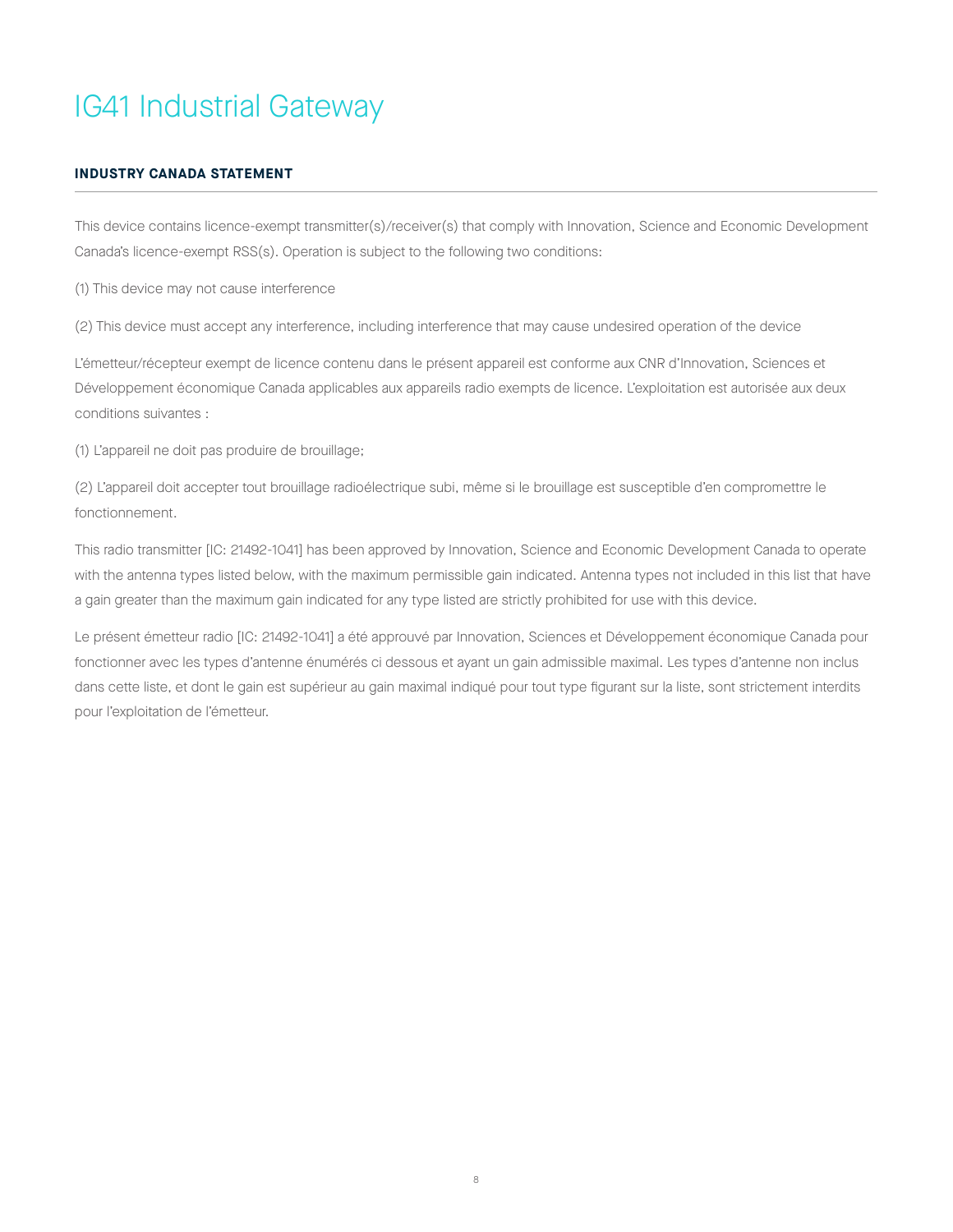### **INDUSTRY CANADA STATEMENT**

This device contains licence-exempt transmitter(s)/receiver(s) that comply with Innovation, Science and Economic Development Canada's licence-exempt RSS(s). Operation is subject to the following two conditions:

(1) This device may not cause interference

(2) This device must accept any interference, including interference that may cause undesired operation of the device

L'émetteur/récepteur exempt de licence contenu dans le présent appareil est conforme aux CNR d'Innovation, Sciences et Développement économique Canada applicables aux appareils radio exempts de licence. L'exploitation est autorisée aux deux conditions suivantes :

(1) L'appareil ne doit pas produire de brouillage;

(2) L'appareil doit accepter tout brouillage radioélectrique subi, même si le brouillage est susceptible d'en compromettre le fonctionnement.

This radio transmitter [IC: 21492-1041] has been approved by Innovation, Science and Economic Development Canada to operate with the antenna types listed below, with the maximum permissible gain indicated. Antenna types not included in this list that have a gain greater than the maximum gain indicated for any type listed are strictly prohibited for use with this device.

Le présent émetteur radio [IC: 21492-1041] a été approuvé par Innovation, Sciences et Développement économique Canada pour fonctionner avec les types d'antenne énumérés ci dessous et ayant un gain admissible maximal. Les types d'antenne non inclus dans cette liste, et dont le gain est supérieur au gain maximal indiqué pour tout type figurant sur la liste, sont strictement interdits pour l'exploitation de l'émetteur.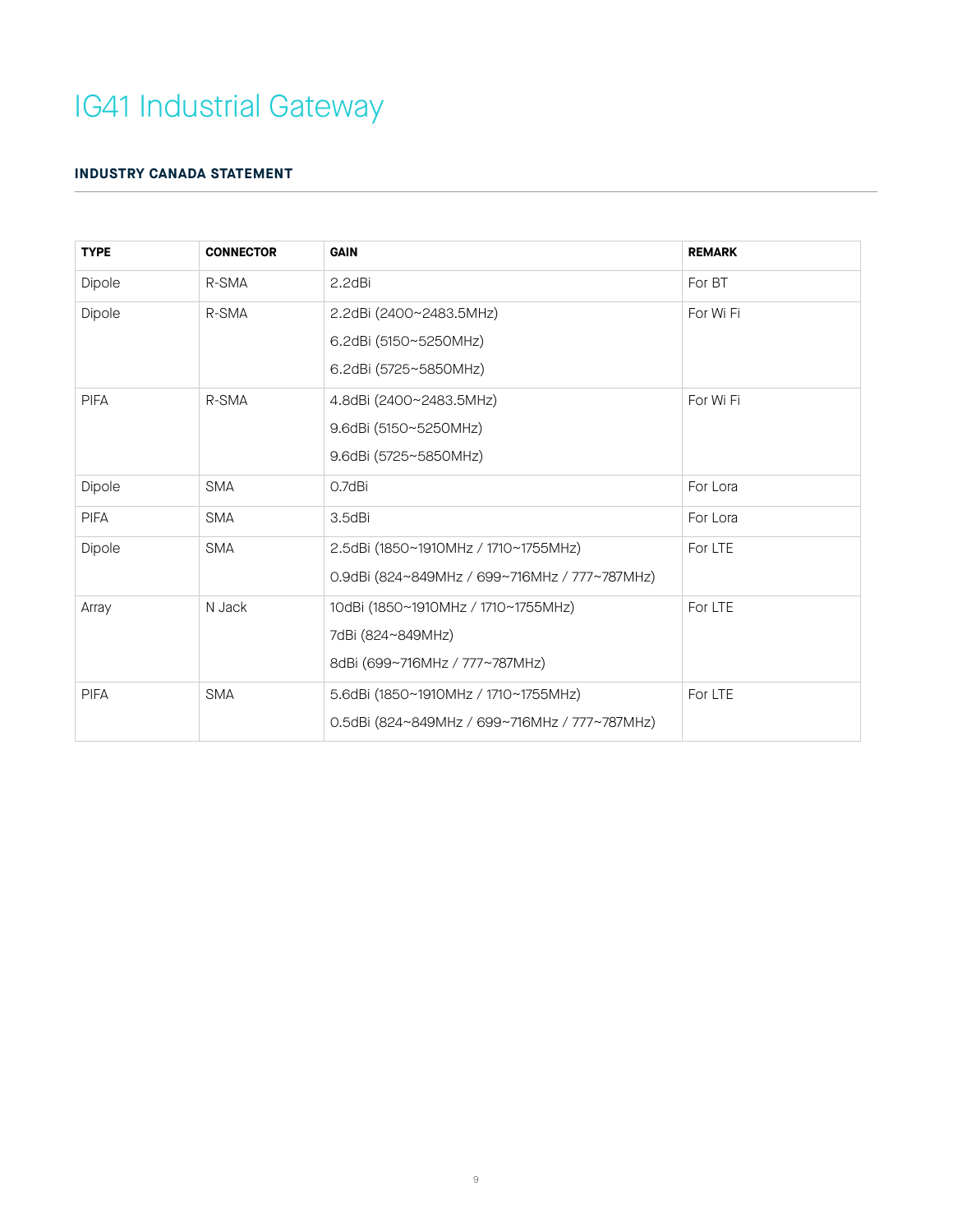### **INDUSTRY CANADA STATEMENT**

| <b>TYPE</b> | <b>CONNECTOR</b> | <b>GAIN</b>                                                                                | <b>REMARK</b> |
|-------------|------------------|--------------------------------------------------------------------------------------------|---------------|
| Dipole      | R-SMA            | 2.2dBi                                                                                     | For BT        |
| Dipole      | R-SMA            | 2.2dBi (2400~2483.5MHz)<br>6.2dBi (5150~5250MHz)<br>6.2dBi (5725~5850MHz)                  | For Wi Fi     |
| <b>PIFA</b> | R-SMA            | 4.8dBi (2400~2483.5MHz)<br>9.6dBi (5150~5250MHz)<br>9.6dBi (5725~5850MHz)                  | For Wi Fi     |
| Dipole      | <b>SMA</b>       | 0.7dBi                                                                                     | For Lora      |
| <b>PIFA</b> | <b>SMA</b>       | 3.5dBi                                                                                     | For Lora      |
| Dipole      | <b>SMA</b>       | 2.5dBi (1850~1910MHz / 1710~1755MHz)<br>0.9dBi (824~849MHz / 699~716MHz / 777~787MHz)      | For LTE       |
| Array       | N Jack           | 10dBi (1850~1910MHz / 1710~1755MHz)<br>7dBi (824~849MHz)<br>8dBi (699~716MHz / 777~787MHz) | For LTE       |
| <b>PIFA</b> | <b>SMA</b>       | 5.6dBi (1850~1910MHz / 1710~1755MHz)<br>0.5dBi (824~849MHz / 699~716MHz / 777~787MHz)      | For LTE       |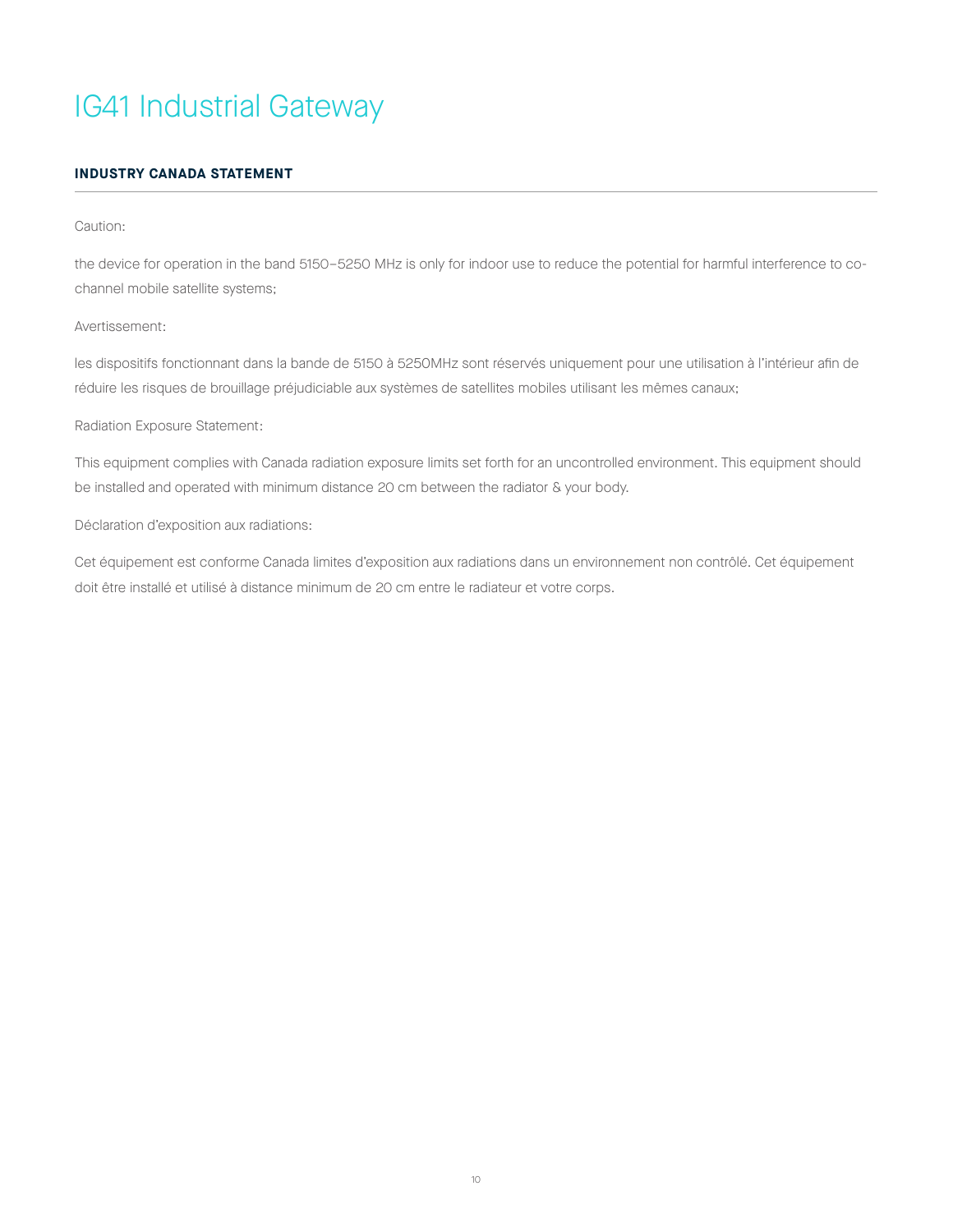### **INDUSTRY CANADA STATEMENT**

#### Caution:

the device for operation in the band 5150–5250 MHz is only for indoor use to reduce the potential for harmful interference to cochannel mobile satellite systems;

#### Avertissement:

les dispositifs fonctionnant dans la bande de 5150 à 5250MHz sont réservés uniquement pour une utilisation à l'intérieur afin de réduire les risques de brouillage préjudiciable aux systèmes de satellites mobiles utilisant les mêmes canaux;

#### Radiation Exposure Statement:

This equipment complies with Canada radiation exposure limits set forth for an uncontrolled environment. This equipment should be installed and operated with minimum distance 20 cm between the radiator & your body.

#### Déclaration d'exposition aux radiations:

Cet équipement est conforme Canada limites d'exposition aux radiations dans un environnement non contrôlé. Cet équipement doit être installé et utilisé à distance minimum de 20 cm entre le radiateur et votre corps.